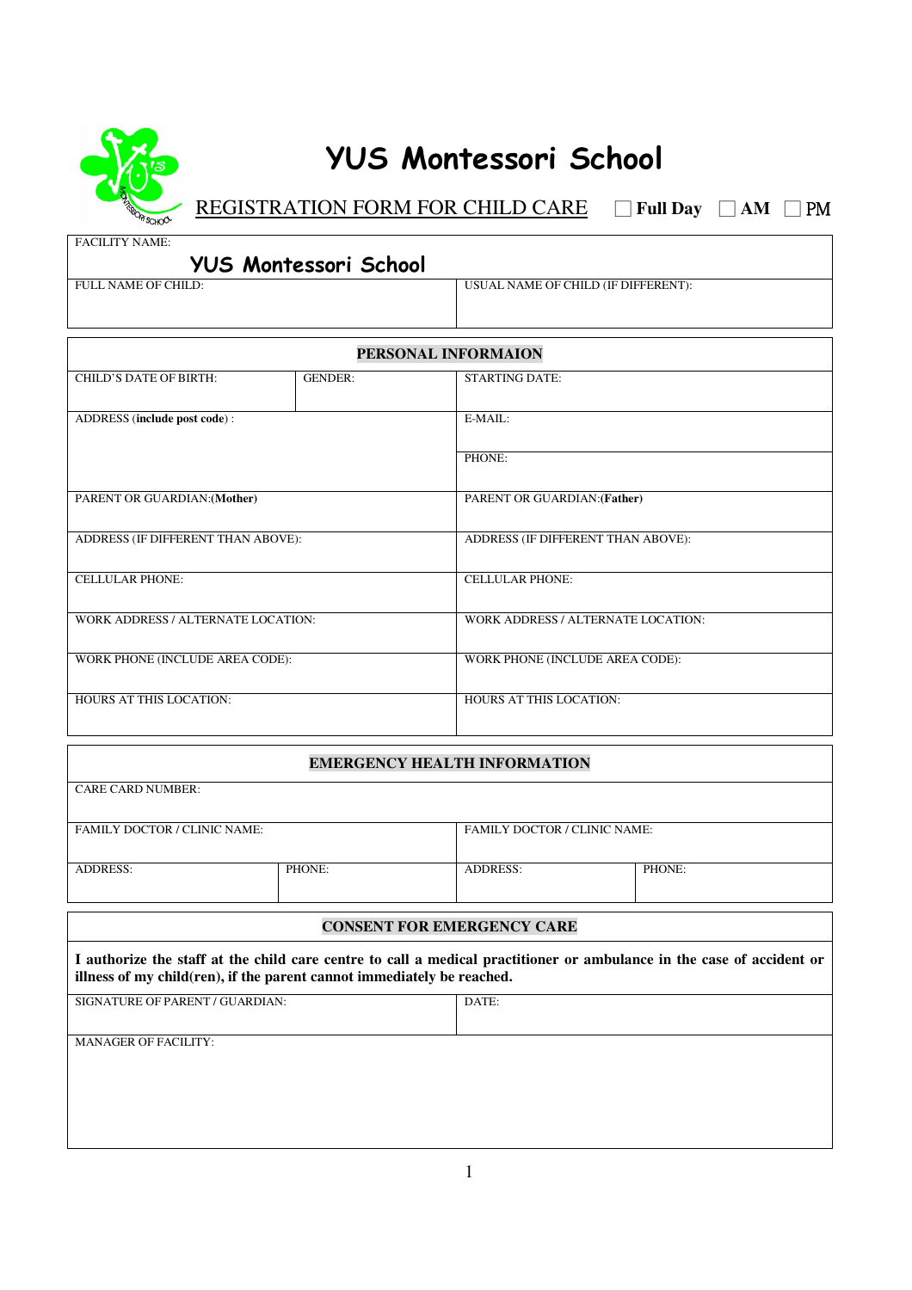

## **YUS Montessori School**

**REGISTRATION FORM FOR CHILD CARE** □ **Full Day** □ **AM** □ **PM** 

FACILITY NAME:

| <b>YUS Montessori School</b> |  |
|------------------------------|--|
|                              |  |

FULL NAME OF CHILD: USUAL NAME OF CHILD (IF DIFFERENT):

| PERSONAL INFORMAION                |                |                                    |  |  |
|------------------------------------|----------------|------------------------------------|--|--|
| <b>CHILD'S DATE OF BIRTH:</b>      | <b>GENDER:</b> | <b>STARTING DATE:</b>              |  |  |
|                                    |                |                                    |  |  |
| ADDRESS (include post code):       |                | E-MAIL:                            |  |  |
|                                    |                |                                    |  |  |
|                                    |                | PHONE:                             |  |  |
|                                    |                |                                    |  |  |
| PARENT OR GUARDIAN: (Mother)       |                | PARENT OR GUARDIAN: (Father)       |  |  |
|                                    |                |                                    |  |  |
| ADDRESS (IF DIFFERENT THAN ABOVE): |                | ADDRESS (IF DIFFERENT THAN ABOVE): |  |  |
|                                    |                |                                    |  |  |
| <b>CELLULAR PHONE:</b>             |                | <b>CELLULAR PHONE:</b>             |  |  |
|                                    |                |                                    |  |  |
| WORK ADDRESS / ALTERNATE LOCATION: |                | WORK ADDRESS / ALTERNATE LOCATION: |  |  |
|                                    |                |                                    |  |  |
| WORK PHONE (INCLUDE AREA CODE):    |                | WORK PHONE (INCLUDE AREA CODE):    |  |  |
|                                    |                |                                    |  |  |
| HOURS AT THIS LOCATION:            |                | <b>HOURS AT THIS LOCATION:</b>     |  |  |
|                                    |                |                                    |  |  |

## **EMERGENCY HEALTH INFORMATION**

| <b>CARE CARD NUMBER:</b>                                                                                                                                                                        |        |                                   |                                     |  |
|-------------------------------------------------------------------------------------------------------------------------------------------------------------------------------------------------|--------|-----------------------------------|-------------------------------------|--|
| <b>FAMILY DOCTOR / CLINIC NAME:</b>                                                                                                                                                             |        |                                   | <b>FAMILY DOCTOR / CLINIC NAME:</b> |  |
| <b>ADDRESS:</b>                                                                                                                                                                                 | PHONE: | <b>ADDRESS:</b>                   | PHONE:                              |  |
|                                                                                                                                                                                                 |        | <b>CONSENT FOR EMERGENCY CARE</b> |                                     |  |
| I authorize the staff at the child care centre to call a medical practitioner or ambulance in the case of accident or<br>illness of my child(ren), if the parent cannot immediately be reached. |        |                                   |                                     |  |
| SIGNATURE OF PARENT / GUARDIAN:                                                                                                                                                                 |        | DATE:                             |                                     |  |
| <b>MANAGER OF FACILITY:</b>                                                                                                                                                                     |        |                                   |                                     |  |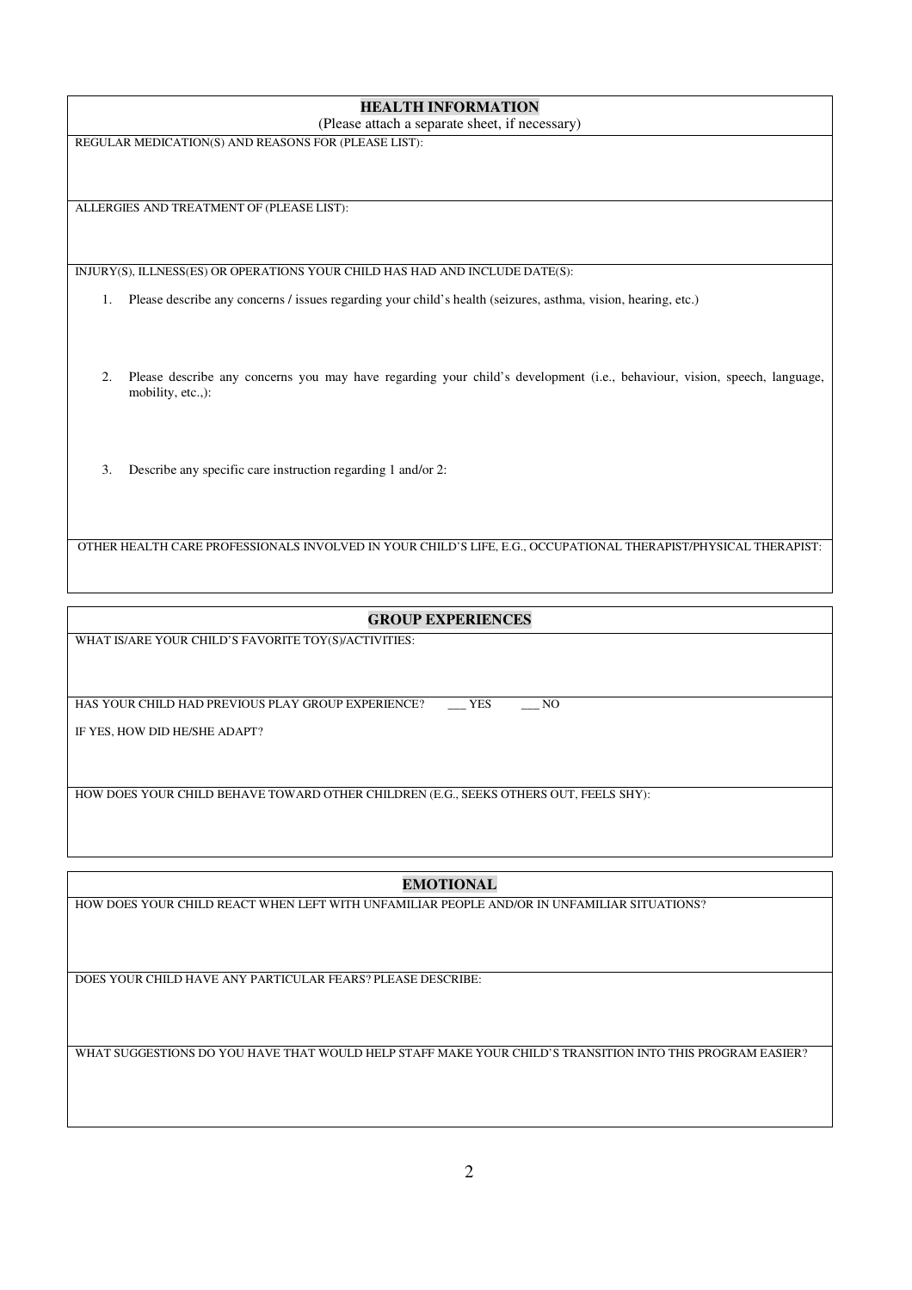| <b>HEALTH INFORMATION</b>                                                                                                                           |
|-----------------------------------------------------------------------------------------------------------------------------------------------------|
| (Please attach a separate sheet, if necessary)                                                                                                      |
| REGULAR MEDICATION(S) AND REASONS FOR (PLEASE LIST):                                                                                                |
| ALLERGIES AND TREATMENT OF (PLEASE LIST):                                                                                                           |
|                                                                                                                                                     |
| INJURY(S), ILLNESS(ES) OR OPERATIONS YOUR CHILD HAS HAD AND INCLUDE DATE(S):                                                                        |
| Please describe any concerns / issues regarding your child's health (seizures, asthma, vision, hearing, etc.)<br>1.                                 |
| Please describe any concerns you may have regarding your child's development (i.e., behaviour, vision, speech, language,<br>2.<br>mobility, etc.,): |
| Describe any specific care instruction regarding 1 and/or 2:<br>3.                                                                                  |
| OTHER HEALTH CARE PROFESSIONALS INVOLVED IN YOUR CHILD'S LIFE, E.G., OCCUPATIONAL THERAPIST/PHYSICAL THERAPIST:                                     |
|                                                                                                                                                     |

## **GROUP EXPERIENCES**

WHAT IS/ARE YOUR CHILD'S FAVORITE TOY(S)/ACTIVITIES:

HAS YOUR CHILD HAD PREVIOUS PLAY GROUP EXPERIENCE? \_\_\_\_ YES \_\_\_\_ NO

IF YES, HOW DID HE/SHE ADAPT?

HOW DOES YOUR CHILD BEHAVE TOWARD OTHER CHILDREN (E.G., SEEKS OTHERS OUT, FEELS SHY):

**EMOTIONAL** 

HOW DOES YOUR CHILD REACT WHEN LEFT WITH UNFAMILIAR PEOPLE AND/OR IN UNFAMILIAR SITUATIONS?

DOES YOUR CHILD HAVE ANY PARTICULAR FEARS? PLEASE DESCRIBE:

WHAT SUGGESTIONS DO YOU HAVE THAT WOULD HELP STAFF MAKE YOUR CHILD'S TRANSITION INTO THIS PROGRAM EASIER?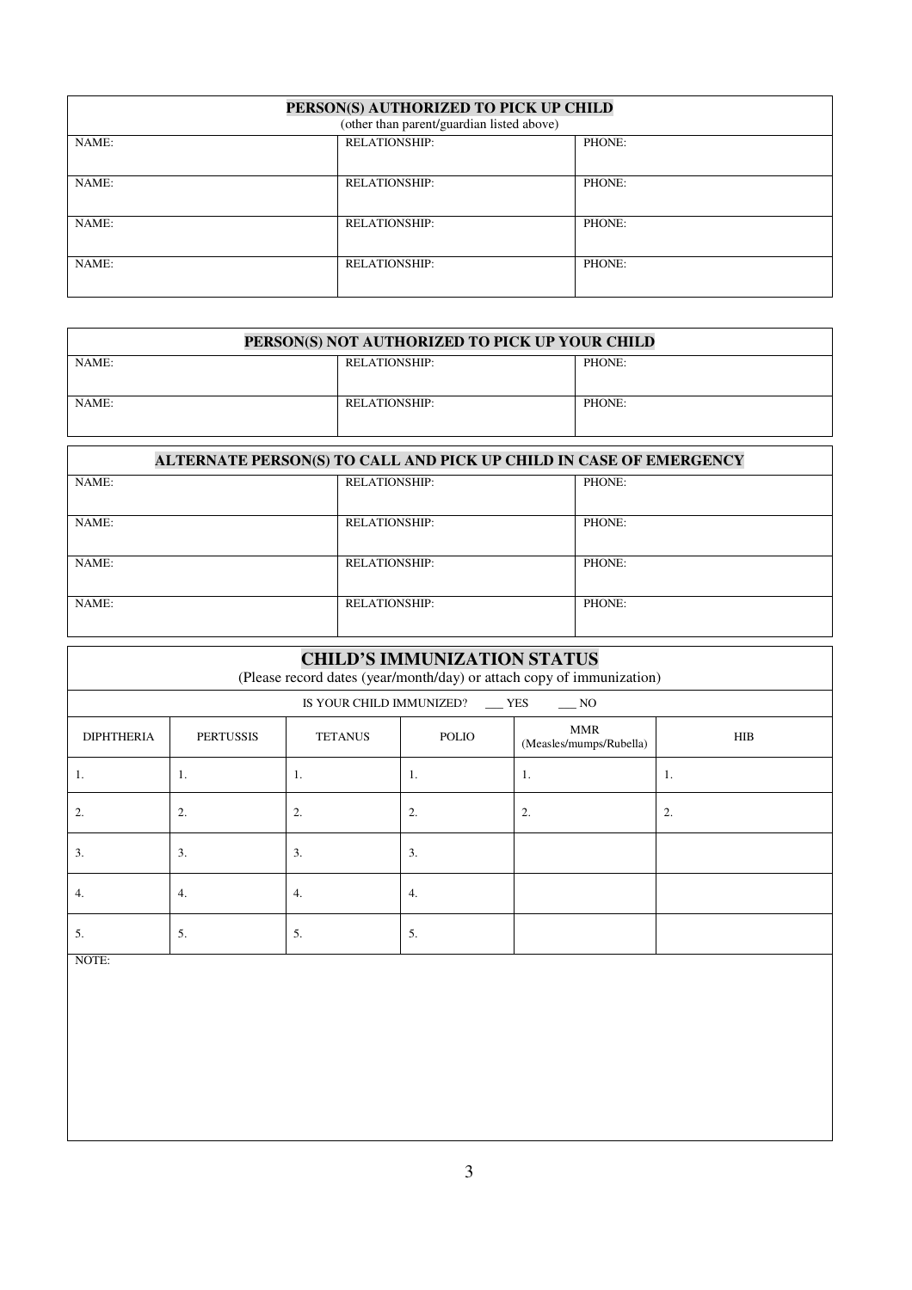| PERSON(S) AUTHORIZED TO PICK UP CHILD<br>(other than parent/guardian listed above) |                      |        |  |
|------------------------------------------------------------------------------------|----------------------|--------|--|
| NAME:                                                                              | <b>RELATIONSHIP:</b> | PHONE: |  |
| NAME:                                                                              | <b>RELATIONSHIP:</b> | PHONE: |  |
| NAME:                                                                              | <b>RELATIONSHIP:</b> | PHONE: |  |
| NAME:                                                                              | <b>RELATIONSHIP:</b> | PHONE: |  |

| PERSON(S) NOT AUTHORIZED TO PICK UP YOUR CHILD |               |        |  |
|------------------------------------------------|---------------|--------|--|
| NAME:                                          | RELATIONSHIP: | PHONE: |  |
| NAME:                                          | RELATIONSHIP: | PHONE: |  |

| ALTERNATE PERSON(S) TO CALL AND PICK UP CHILD IN CASE OF EMERGENCY |                      |        |  |
|--------------------------------------------------------------------|----------------------|--------|--|
| NAME:                                                              | <b>RELATIONSHIP:</b> | PHONE: |  |
| NAME:                                                              | <b>RELATIONSHIP:</b> | PHONE: |  |
| NAME:                                                              | <b>RELATIONSHIP:</b> | PHONE: |  |
| NAME:                                                              | <b>RELATIONSHIP:</b> | PHONE: |  |

| <b>CHILD'S IMMUNIZATION STATUS</b><br>(Please record dates (year/month/day) or attach copy of immunization) |                  |                |                                        |                                       |            |
|-------------------------------------------------------------------------------------------------------------|------------------|----------------|----------------------------------------|---------------------------------------|------------|
|                                                                                                             |                  |                | IS YOUR CHILD IMMUNIZED? __ YES ___ NO |                                       |            |
| <b>DIPHTHERIA</b>                                                                                           | <b>PERTUSSIS</b> | <b>TETANUS</b> | <b>POLIO</b>                           | <b>MMR</b><br>(Measles/mumps/Rubella) | <b>HIB</b> |
| 1.                                                                                                          | -1.              | 1.             | 1.                                     | 1.                                    | 1.         |
| 2.                                                                                                          | 2.               | 2.             | 2.                                     | 2.                                    | 2.         |
| 3.                                                                                                          | 3.               | 3.             | 3.                                     |                                       |            |
| 4.                                                                                                          | 4.               | 4.             | 4.                                     |                                       |            |
| 5.<br>-----                                                                                                 | 5.               | 5.             | 5.                                     |                                       |            |

NOTE: